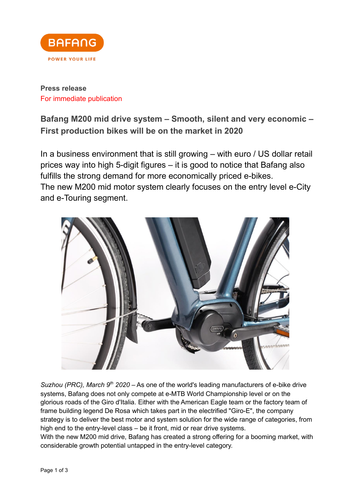

# **Press release** For immediate publication

**Bafang M200 mid drive system – Smooth, silent and very economic – First production bikes will be on the market in 2020**

In a business environment that is still growing – with euro / US dollar retail prices way into high 5-digit figures – it is good to notice that Bafang also fulfills the strong demand for more economically priced e-bikes. The new M200 mid motor system clearly focuses on the entry level e-City and e-Touring segment.



*Suzhou (PRC), March* 9<sup>th</sup> 2020 – As one of the world's leading manufacturers of e-bike drive systems, Bafang does not only compete at e-MTB World Championship level or on the glorious roads of the Giro d'Italia. Either with the American Eagle team or the factory team of frame building legend De Rosa which takes part in the electrified "Giro-E", the company strategy is to deliver the best motor and system solution for the wide range of categories, from high end to the entry-level class – be it front, mid or rear drive systems.

With the new M200 mid drive, Bafang has created a strong offering for a booming market, with considerable growth potential untapped in the entry-level category.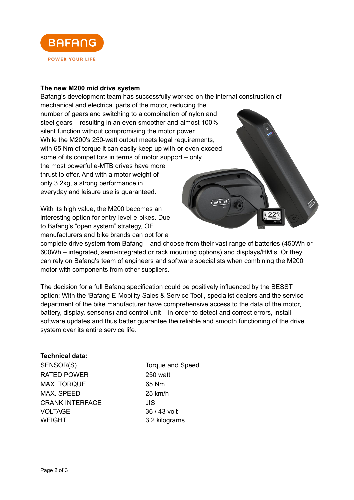

### **The new M200 mid drive system**

Bafang's development team has successfully worked on the internal construction of mechanical and electrical parts of the motor, reducing the number of gears and switching to a combination of nylon and steel gears – resulting in an even smoother and almost 100% silent function without compromising the motor power. While the M200's 250-watt output meets legal requirements, with 65 Nm of torque it can easily keep up with or even exceed some of its competitors in terms of motor support – only the most powerful e-MTB drives have more thrust to offer. And with a motor weight of only 3.2kg, a strong performance in everyday and leisure use is guaranteed. BAFANG

With its high value, the M200 becomes an interesting option for entry-level e-bikes. Due to Bafang's "open system" strategy, OE manufacturers and bike brands can opt for a

complete drive system from Bafang – and choose from their vast range of batteries (450Wh or 600Wh – integrated, semi-integrated or rack mounting options) and displays/HMIs. Or they can rely on Bafang's team of engineers and software specialists when combining the M200 motor with components from other suppliers.

The decision for a full Bafang specification could be positively influenced by the BESST option: With the 'Bafang E-Mobility Sales & Service Tool', specialist dealers and the service department of the bike manufacturer have comprehensive access to the data of the motor, battery, display, sensor(s) and control unit – in order to detect and correct errors, install software updates and thus better guarantee the reliable and smooth functioning of the drive system over its entire service life.

#### **Technical data:**

SENSOR(S) Torque and Speed RATED POWER 250 watt MAX. TORQUE 65 Nm MAX. SPEED 25 km/h CRANK INTERFACE JIS VOLTAGE 36 / 43 volt WEIGHT 3.2 kilograms